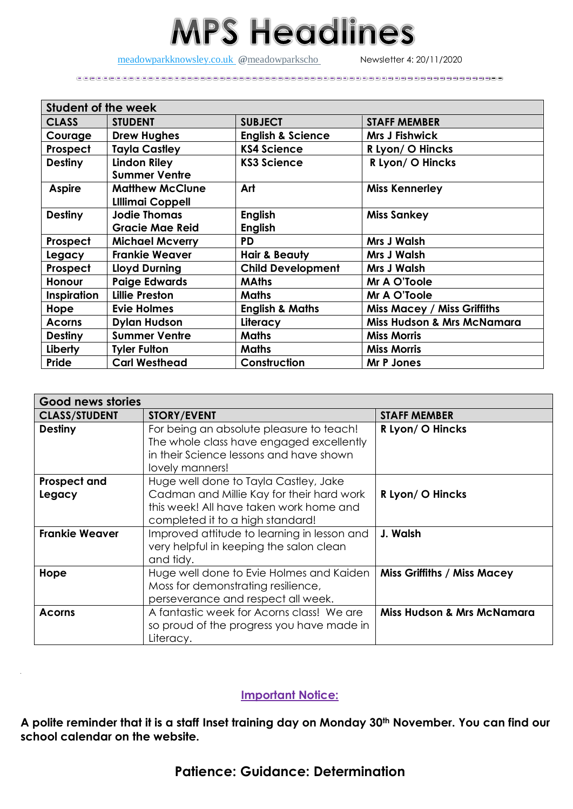## **MPS Headlines**

[meadowparkknowsley.co.uk](https://t.co/znDDto23ds) @[meadowparkscho](https://twitter.com/meadowparkscho) Newsletter 4: 20/11/2020

| <b>Student of the week</b> |                         |                              |                                       |  |
|----------------------------|-------------------------|------------------------------|---------------------------------------|--|
| <b>CLASS</b>               | <b>STUDENT</b>          | <b>SUBJECT</b>               | <b>STAFF MEMBER</b>                   |  |
| Courage                    | <b>Drew Hughes</b>      | <b>English &amp; Science</b> | <b>Mrs J Fishwick</b>                 |  |
| Prospect                   | <b>Tayla Castley</b>    | <b>KS4 Science</b>           | R Lyon/O Hincks                       |  |
| <b>Destiny</b>             | <b>Lindon Riley</b>     | <b>KS3 Science</b>           | R Lyon/ O Hincks                      |  |
|                            | <b>Summer Ventre</b>    |                              |                                       |  |
| <b>Aspire</b>              | <b>Matthew McClune</b>  | Art                          | <b>Miss Kennerley</b>                 |  |
|                            | <b>LIllimai Coppell</b> |                              |                                       |  |
| <b>Destiny</b>             | <b>Jodie Thomas</b>     | <b>English</b>               | <b>Miss Sankey</b>                    |  |
|                            | <b>Gracie Mae Reid</b>  | <b>English</b>               |                                       |  |
| Prospect                   | <b>Michael Mcverry</b>  | <b>PD</b>                    | <b>Mrs J Walsh</b>                    |  |
| Legacy                     | <b>Frankie Weaver</b>   | <b>Hair &amp; Beauty</b>     | <b>Mrs J Walsh</b>                    |  |
| Prospect                   | Lloyd Durning           | <b>Child Development</b>     | <b>Mrs J Walsh</b>                    |  |
| <b>Honour</b>              | <b>Paige Edwards</b>    | <b>MAths</b>                 | Mr A O'Toole                          |  |
| <b>Inspiration</b>         | <b>Lillie Preston</b>   | <b>Maths</b>                 | Mr A O'Toole                          |  |
| Hope                       | <b>Evie Holmes</b>      | <b>English &amp; Maths</b>   | <b>Miss Macey / Miss Griffiths</b>    |  |
| <b>Acorns</b>              | <b>Dylan Hudson</b>     | Literacy                     | <b>Miss Hudson &amp; Mrs McNamara</b> |  |
| <b>Destiny</b>             | <b>Summer Ventre</b>    | <b>Maths</b>                 | <b>Miss Morris</b>                    |  |
| Liberty                    | <b>Tyler Fulton</b>     | <b>Maths</b>                 | <b>Miss Morris</b>                    |  |
| Pride                      | <b>Carl Westhead</b>    | Construction                 | <b>Mr P Jones</b>                     |  |

| Good news stories             |                                                                                                                                                                   |                                       |  |
|-------------------------------|-------------------------------------------------------------------------------------------------------------------------------------------------------------------|---------------------------------------|--|
| <b>CLASS/STUDENT</b>          | <b>STORY/EVENT</b>                                                                                                                                                | <b>STAFF MEMBER</b>                   |  |
| <b>Destiny</b>                | For being an absolute pleasure to teach!<br>The whole class have engaged excellently<br>in their Science lessons and have shown<br>lovely manners!                | R Lyon/ O Hincks                      |  |
| <b>Prospect and</b><br>Legacy | Huge well done to Tayla Castley, Jake<br>Cadman and Millie Kay for their hard work<br>this week! All have taken work home and<br>completed it to a high standard! | R Lyon/ O Hincks                      |  |
| <b>Frankie Weaver</b>         | Improved attitude to learning in lesson and<br>very helpful in keeping the salon clean<br>and tidy.                                                               | J. Walsh                              |  |
| Hope                          | Huge well done to Evie Holmes and Kaiden<br>Moss for demonstrating resilience,<br>perseverance and respect all week.                                              | <b>Miss Griffiths / Miss Macey</b>    |  |
| <b>Acorns</b>                 | A fantastic week for Acorns class! We are<br>so proud of the progress you have made in<br>Literacy.                                                               | <b>Miss Hudson &amp; Mrs McNamara</b> |  |

## **Important Notice:**

**A polite reminder that it is a staff Inset training day on Monday 30th November. You can find our school calendar on the website.**

## **Patience: Guidance: Determination**